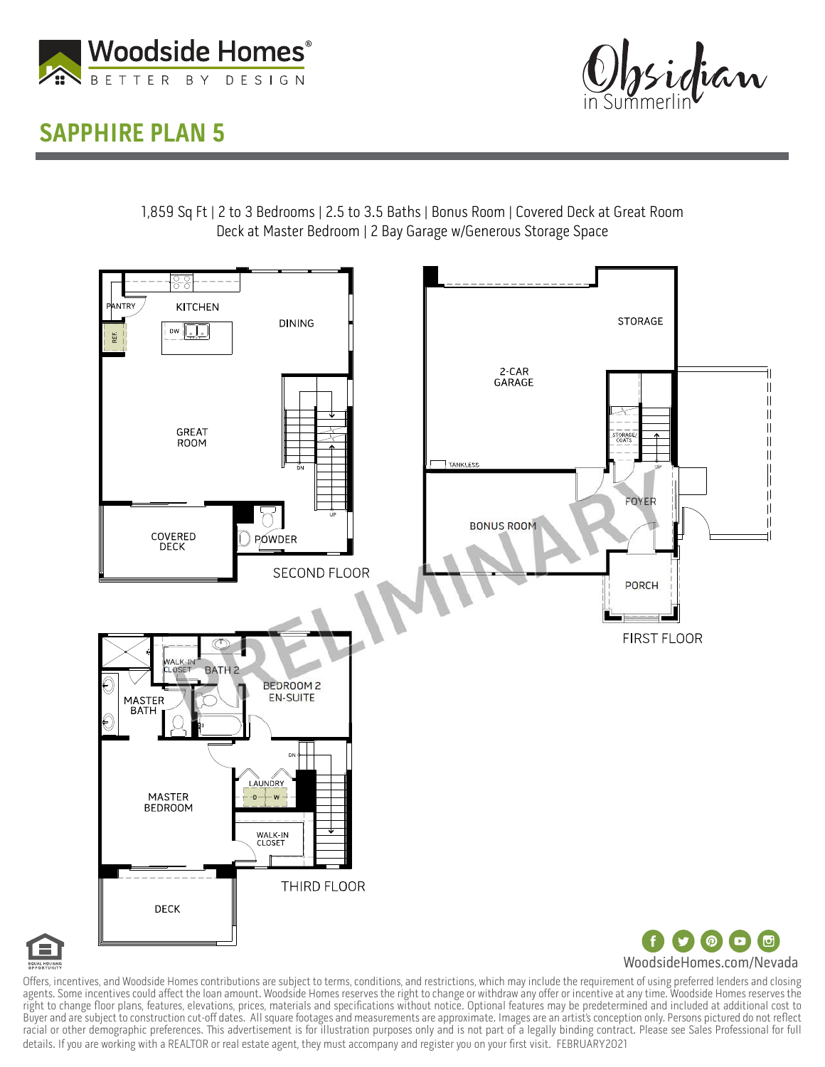

## SAPPHIRE PLAN 5



1,859 Sq Ft | 2 to 3 Bedrooms | 2.5 to 3.5 Baths | Bonus Room | Covered Deck at Great Room Deck at Master Bedroom | 2 Bay Garage w/Generous Storage Space





Offers, incentives, and Woodside Homes contributions are subject to terms, conditions, and restrictions, which may include the requirement of using preferred lenders and closing agents. Some incentives could affect the loan amount. Woodside Homes reserves the right to change or withdraw any offer or incentive at any time. Woodside Homes reserves the right to change floor plans, features, elevations, prices, materials and specifications without notice. Optional features may be predetermined and included at additional cost to Buyer and are subject to construction cut-off dates. All square footages and measurements are approximate. Images are an artist's conception only. Persons pictured do not reflect racial or other demographic preferences. This advertisement is for illustration purposes only and is not part of a legally binding contract. Please see Sales Professional for full details. If you are working with a REALTOR or real estate agent, they must accompany and register you on your first visit. FEBRUARY2021